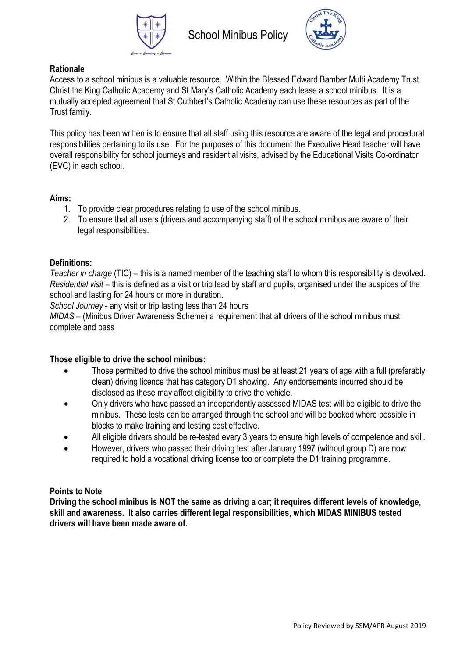



# **Rationale**

Access to a school minibus is a valuable resource. Within the Blessed Edward Bamber Multi Academy Trust Christ the King Catholic Academy and St Mary's Catholic Academy each lease a school minibus. It is a mutually accepted agreement that St Cuthbert's Catholic Academy can use these resources as part of the Trust family.

This policy has been written is to ensure that all staff using this resource are aware of the legal and procedural responsibilities pertaining to its use. For the purposes of this document the Executive Head teacher will have overall responsibility for school journeys and residential visits, advised by the Educational Visits Co-ordinator (EVC) in each school.

## **Aims:**

- 1. To provide clear procedures relating to use of the school minibus.
- 2. To ensure that all users (drivers and accompanying staff) of the school minibus are aware of their legal responsibilities.

# **Definitions:**

*Teacher in charge* (TIC) – this is a named member of the teaching staff to whom this responsibility is devolved. *Residential visit* – this is defined as a visit or trip lead by staff and pupils, organised under the auspices of the school and lasting for 24 hours or more in duration.

*School Journey* - any visit or trip lasting less than 24 hours

*MIDAS* – (Minibus Driver Awareness Scheme) a requirement that all drivers of the school minibus must complete and pass

## **Those eligible to drive the school minibus:**

- Those permitted to drive the school minibus must be at least 21 years of age with a full (preferably clean) driving licence that has category D1 showing. Any endorsements incurred should be disclosed as these may affect eligibility to drive the vehicle.
- Only drivers who have passed an independently assessed MIDAS test will be eligible to drive the minibus. These tests can be arranged through the school and will be booked where possible in blocks to make training and testing cost effective.
- All eligible drivers should be re-tested every 3 years to ensure high levels of competence and skill.
- However, drivers who passed their driving test after January 1997 (without group D) are now required to hold a vocational driving license too or complete the D1 training programme.

## **Points to Note**

**Driving the school minibus is NOT the same as driving a car; it requires different levels of knowledge, skill and awareness. It also carries different legal responsibilities, which MIDAS MINIBUS tested drivers will have been made aware of.**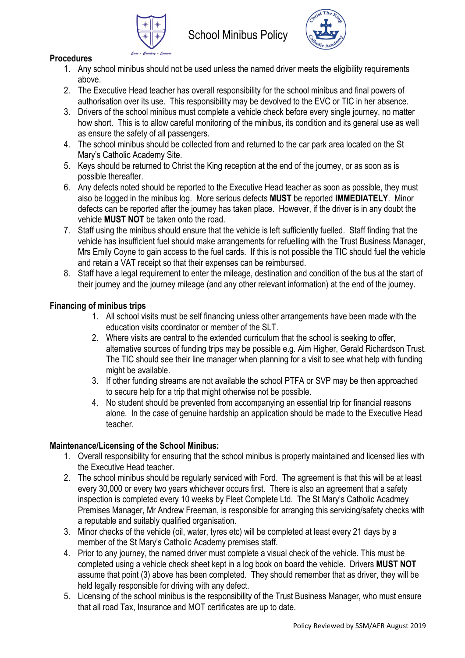



# **Procedures**

- 1. Any school minibus should not be used unless the named driver meets the eligibility requirements above.
- 2. The Executive Head teacher has overall responsibility for the school minibus and final powers of authorisation over its use. This responsibility may be devolved to the EVC or TIC in her absence.
- 3. Drivers of the school minibus must complete a vehicle check before every single journey, no matter how short. This is to allow careful monitoring of the minibus, its condition and its general use as well as ensure the safety of all passengers.
- 4. The school minibus should be collected from and returned to the car park area located on the St Mary's Catholic Academy Site.
- 5. Keys should be returned to Christ the King reception at the end of the journey, or as soon as is possible thereafter.
- 6. Any defects noted should be reported to the Executive Head teacher as soon as possible, they must also be logged in the minibus log. More serious defects **MUST** be reported **IMMEDIATELY**. Minor defects can be reported after the journey has taken place. However, if the driver is in any doubt the vehicle **MUST NOT** be taken onto the road.
- 7. Staff using the minibus should ensure that the vehicle is left sufficiently fuelled. Staff finding that the vehicle has insufficient fuel should make arrangements for refuelling with the Trust Business Manager, Mrs Emily Coyne to gain access to the fuel cards. If this is not possible the TIC should fuel the vehicle and retain a VAT receipt so that their expenses can be reimbursed.
- 8. Staff have a legal requirement to enter the mileage, destination and condition of the bus at the start of their journey and the journey mileage (and any other relevant information) at the end of the journey.

# **Financing of minibus trips**

- 1. All school visits must be self financing unless other arrangements have been made with the education visits coordinator or member of the SLT.
- 2. Where visits are central to the extended curriculum that the school is seeking to offer, alternative sources of funding trips may be possible e.g. Aim Higher, Gerald Richardson Trust. The TIC should see their line manager when planning for a visit to see what help with funding might be available.
- 3. If other funding streams are not available the school PTFA or SVP may be then approached to secure help for a trip that might otherwise not be possible.
- 4. No student should be prevented from accompanying an essential trip for financial reasons alone. In the case of genuine hardship an application should be made to the Executive Head teacher.

# **Maintenance/Licensing of the School Minibus:**

- 1. Overall responsibility for ensuring that the school minibus is properly maintained and licensed lies with the Executive Head teacher.
- 2. The school minibus should be regularly serviced with Ford. The agreement is that this will be at least every 30,000 or every two years whichever occurs first. There is also an agreement that a safety inspection is completed every 10 weeks by Fleet Complete Ltd. The St Mary's Catholic Acadmey Premises Manager, Mr Andrew Freeman, is responsible for arranging this servicing/safety checks with a reputable and suitably qualified organisation.
- 3. Minor checks of the vehicle (oil, water, tyres etc) will be completed at least every 21 days by a member of the St Mary's Catholic Academy premises staff.
- 4. Prior to any journey, the named driver must complete a visual check of the vehicle. This must be completed using a vehicle check sheet kept in a log book on board the vehicle. Drivers **MUST NOT** assume that point (3) above has been completed. They should remember that as driver, they will be held legally responsible for driving with any defect.
- 5. Licensing of the school minibus is the responsibility of the Trust Business Manager, who must ensure that all road Tax, Insurance and MOT certificates are up to date.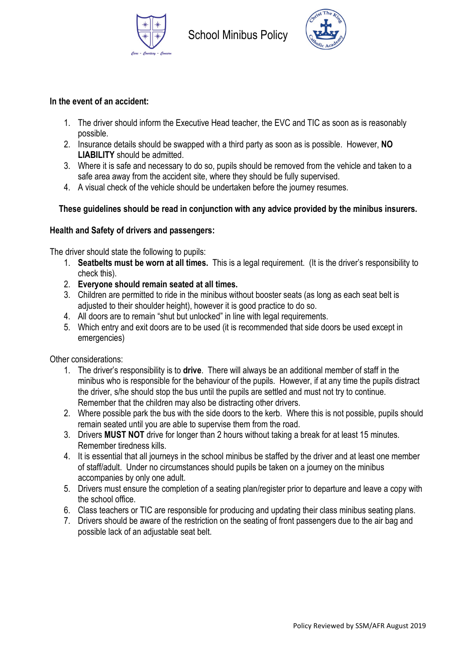



#### **In the event of an accident:**

- 1. The driver should inform the Executive Head teacher, the EVC and TIC as soon as is reasonably possible.
- 2. Insurance details should be swapped with a third party as soon as is possible. However, **NO LIABILITY** should be admitted.
- 3. Where it is safe and necessary to do so, pupils should be removed from the vehicle and taken to a safe area away from the accident site, where they should be fully supervised.
- 4. A visual check of the vehicle should be undertaken before the journey resumes.

# **These guidelines should be read in conjunction with any advice provided by the minibus insurers.**

## **Health and Safety of drivers and passengers:**

The driver should state the following to pupils:

- 1. **Seatbelts must be worn at all times.** This is a legal requirement. (It is the driver's responsibility to check this).
- 2. **Everyone should remain seated at all times.**
- 3. Children are permitted to ride in the minibus without booster seats (as long as each seat belt is adjusted to their shoulder height), however it is good practice to do so.
- 4. All doors are to remain "shut but unlocked" in line with legal requirements.
- 5. Which entry and exit doors are to be used (it is recommended that side doors be used except in emergencies)

Other considerations:

- 1. The driver's responsibility is to **drive**. There will always be an additional member of staff in the minibus who is responsible for the behaviour of the pupils. However, if at any time the pupils distract the driver, s/he should stop the bus until the pupils are settled and must not try to continue. Remember that the children may also be distracting other drivers.
- 2. Where possible park the bus with the side doors to the kerb. Where this is not possible, pupils should remain seated until you are able to supervise them from the road.
- 3. Drivers **MUST NOT** drive for longer than 2 hours without taking a break for at least 15 minutes. Remember tiredness kills.
- 4. It is essential that all journeys in the school minibus be staffed by the driver and at least one member of staff/adult. Under no circumstances should pupils be taken on a journey on the minibus accompanies by only one adult.
- 5. Drivers must ensure the completion of a seating plan/register prior to departure and leave a copy with the school office.
- 6. Class teachers or TIC are responsible for producing and updating their class minibus seating plans.
- 7. Drivers should be aware of the restriction on the seating of front passengers due to the air bag and possible lack of an adjustable seat belt.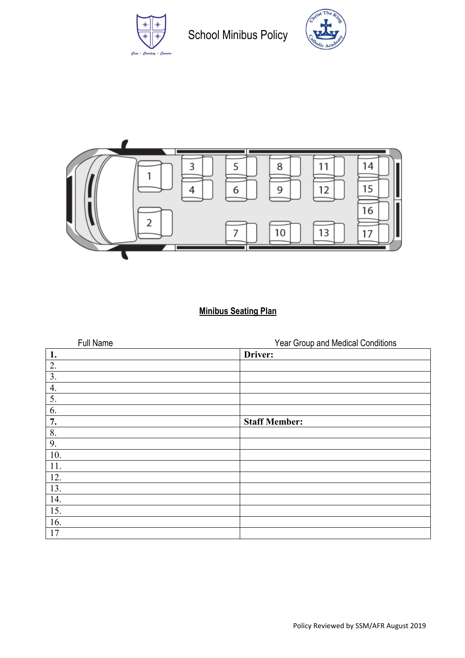

School Minibus Policy





# **Minibus Seating Plan**

| Full Name | Year Group and Medical Conditions |
|-----------|-----------------------------------|
| 1.        | Driver:                           |
| 2.        |                                   |
| 3.        |                                   |
| 4.        |                                   |
| 5.        |                                   |
| 6.        |                                   |
| 7.        | <b>Staff Member:</b>              |
| 8.        |                                   |
| 9.        |                                   |
| 10.       |                                   |
| 11.       |                                   |
| 12.       |                                   |
| 13.       |                                   |
| 14.       |                                   |
| 15.       |                                   |
| 16.       |                                   |
| 17        |                                   |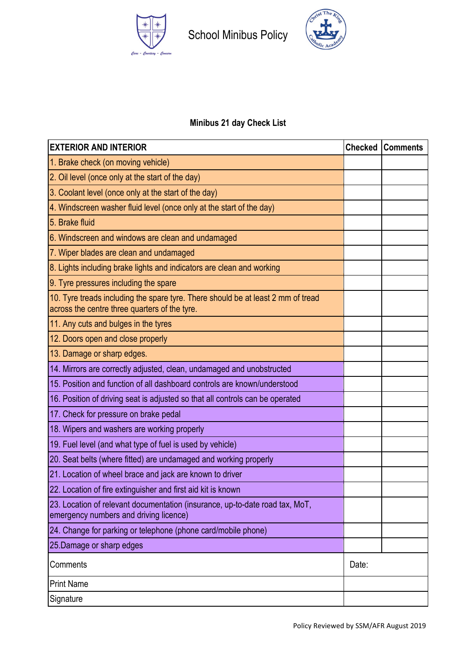



# **Minibus 21 day Check List**

| <b>EXTERIOR AND INTERIOR</b>                                                                                                      |  | <b>Checked Comments</b> |
|-----------------------------------------------------------------------------------------------------------------------------------|--|-------------------------|
| 1. Brake check (on moving vehicle)                                                                                                |  |                         |
| 2. Oil level (once only at the start of the day)                                                                                  |  |                         |
| 3. Coolant level (once only at the start of the day)                                                                              |  |                         |
| 4. Windscreen washer fluid level (once only at the start of the day)                                                              |  |                         |
| 5. Brake fluid                                                                                                                    |  |                         |
| 6. Windscreen and windows are clean and undamaged                                                                                 |  |                         |
| 7. Wiper blades are clean and undamaged                                                                                           |  |                         |
| 8. Lights including brake lights and indicators are clean and working                                                             |  |                         |
| 9. Tyre pressures including the spare                                                                                             |  |                         |
| 10. Tyre treads including the spare tyre. There should be at least 2 mm of tread<br>across the centre three quarters of the tyre. |  |                         |
| 11. Any cuts and bulges in the tyres                                                                                              |  |                         |
| 12. Doors open and close properly                                                                                                 |  |                         |
| 13. Damage or sharp edges.                                                                                                        |  |                         |
| 14. Mirrors are correctly adjusted, clean, undamaged and unobstructed                                                             |  |                         |
| 15. Position and function of all dashboard controls are known/understood                                                          |  |                         |
| 16. Position of driving seat is adjusted so that all controls can be operated                                                     |  |                         |
| 17. Check for pressure on brake pedal                                                                                             |  |                         |
| 18. Wipers and washers are working properly                                                                                       |  |                         |
| 19. Fuel level (and what type of fuel is used by vehicle)                                                                         |  |                         |
| 20. Seat belts (where fitted) are undamaged and working properly                                                                  |  |                         |
| 21. Location of wheel brace and jack are known to driver                                                                          |  |                         |
| 22. Location of fire extinguisher and first aid kit is known                                                                      |  |                         |
| 23. Location of relevant documentation (insurance, up-to-date road tax, MoT,<br>emergency numbers and driving licence)            |  |                         |
| 24. Change for parking or telephone (phone card/mobile phone)                                                                     |  |                         |
| 25. Damage or sharp edges                                                                                                         |  |                         |
| Comments                                                                                                                          |  |                         |
| <b>Print Name</b>                                                                                                                 |  |                         |
| Signature                                                                                                                         |  |                         |